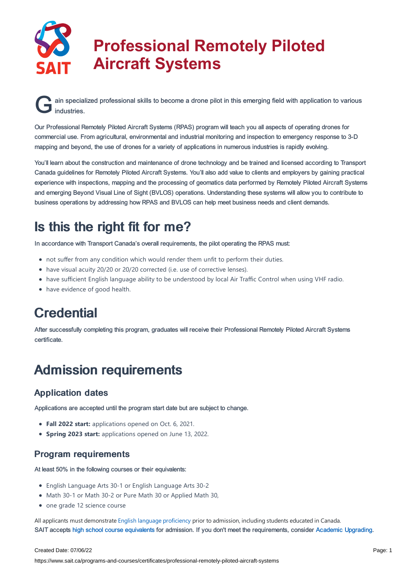

# **Professional Remotely Piloted Aircraft Systems**

G ain special ain specialized professional skills to become a drone pilot in this emerging field with application to various

Our Professional Remotely Piloted Aircraft Systems (RPAS) program will teach you all aspects of operating drones for commercial use. From agricultural, environmental and industrial monitoring and inspection to emergency response to 3-D mapping and beyond, the use of drones for a variety of applications in numerous industries is rapidly evolving.

You'll learn about the construction and maintenance of drone technology and be trained and licensed according to Transport Canada guidelines for Remotely Piloted Aircraft Systems. You'll also add value to clients and employers by gaining practical experience with inspections, mapping and the processing of geomatics data performed by Remotely Piloted Aircraft Systems and emerging Beyond Visual Line of Sight (BVLOS) operations. Understanding these systems will allow you to contribute to business operations by addressing how RPAS and BVLOS can help meet business needs and client demands.

# Is this the right fit for me?

In accordance with Transport Canada's overall requirements, the pilot operating the RPAS must:

- not suffer from any condition which would render them unfit to perform their duties.
- have visual acuity 20/20 or 20/20 corrected (i.e. use of corrective lenses).
- have sufficient English language ability to be understood by local Air Traffic Control when using VHF radio.
- have evidence of good health.

# **Credential**

After successfully completing this program, graduates will receive their Professional Remotely Piloted Aircraft Systems certificate.

## Admission requirements

### Application dates

Applications are accepted until the program start date but are subject to change.

- **Fall 2022 start:** applications opened on Oct. 6, 2021.
- **Spring 2023 start:** applications opened on June 13, 2022.

### Program requirements

At least 50% in the following courses or their equivalents:

- English Language Arts 30-1 or English Language Arts 30-2
- Math 30-1 or Math 30-2 or Pure Math 30 or Applied Math 30,
- one grade 12 science course

All applicants must demonstrate English language [proficiency](https://www.sait.ca/admissions/before-you-apply/english-proficiency) prior to admission, including students educated in Canada. SAIT accepts high school course [equivalents](https://www.sait.ca/admissions/before-you-apply/high-school-course-equivalencies) for admission. If you don't meet the requirements, consider Academic [Upgrading.](https://www.sait.ca/programs-and-courses/academic-upgrading)

#### Created Date: 07/06/22

https://www.sait.ca/programs-and-courses/certificates/professional-remotely-piloted-aircraft-systems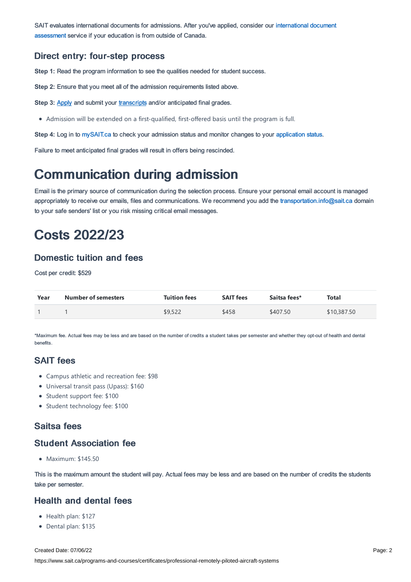SAIT evaluates [international](https://www.sait.ca/admissions/after-you-apply/international-document-assessment) documents for admissions. After you've applied, consider our international document assessment service if your education is from outside of Canada.

### Direct entry: four-step process

**Step 1:** Read the program information to see the qualities needed for student success.

**Step 2:** Ensure that you meet all of the admission requirements listed above.

**Step 3: [Apply](https://www.sait.ca/admissions/apply) and submit your [transcripts](https://www.sait.ca/admissions/admission-and-selection/transcripts-and-supporting-documents) and/or anticipated final grades.** 

Admission will be extended on a first-qualified, first-offered basis until the program is full.

**Step 4:** Log in to [mySAIT.ca](http://www.mysait.ca/) to check your admission status and monitor changes to your [application](https://www.sait.ca/admissions/after-you-apply/tracking-your-application) status.

Failure to meet anticipated final grades will result in offers being rescinded.

### Communication during admission

Email is the primary source of communication during the selection process. Ensure your personal email account is managed appropriately to receive our emails, files and communications. We recommend you add the [transportation.info@sait.ca](https://sait.camailto:transportation.info@sait.ca) domain to your safe senders' list or you risk missing critical email messages.

### Costs 2022/23

### Domestic tuition and fees

Cost per credit: \$529

| Year | <b>Number of semesters</b> | <b>Tuition fees</b> | <b>SAIT fees</b> | Saitsa fees* | Total       |
|------|----------------------------|---------------------|------------------|--------------|-------------|
|      |                            | \$9,522             | \$458            | \$407.50     | \$10,387.50 |

\*Maximum fee. Actual fees may be less and are based on the number of credits a student takes per semester and whether they opt-out of health and dental benefits.

### SAIT fees

- Campus athletic and recreation fee: \$98
- Universal transit pass (Upass): \$160
- Student support fee: \$100
- Student technology fee: \$100

### Saitsa fees

### Student Association fee

 $Maximum: $145.50$ 

This is the maximum amount the student will pay. Actual fees may be less and are based on the number of credits the students take per semester.

### Health and dental fees

- Health plan: \$127
- Dental plan: \$135

Created Date: 07/06/22